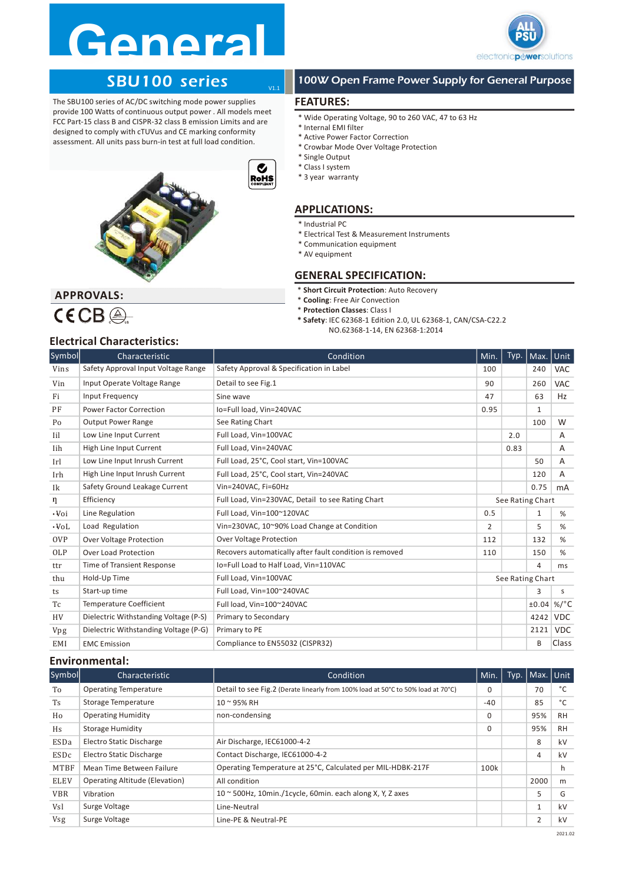# Genera



# SBU100 series



# 100W Open Frame Power Supply for General Purpose

# FEATURES:

V1.1

- \* Wide Operating Voltage, 90 to 260 VAC, 47 to 63 Hz
- \* Internal EMI filter
- \* Active Power Factor Correction
- \* Crowbar Mode Over Voltage Protection
- \* Single Output
- \* Class I system
- \* 3 year warranty

# APPLICATIONS:

- \* Industrial PC
- \* Electrical Test & Measurement Instruments
- \* Communication equipment
- \* AV equipment

# GENERAL SPECIFICATION:

- \* Short Circuit Protection: Auto Recovery
- \* Cooling: Free Air Convection
- \* Protection Classes: Class I
- \* Safety: IEC 62368-1 Edition 2.0, UL 62368-1, CAN/CSA-C22.2 NO.62368-1-14, EN 62368-1:2014

| The SBU100 series of AC/DC switching mode power supplies                                                                                                                                                                                                                      |                                                             |                                           | <b>FEATURES:</b>                                                                                                                                                                                                        |                |                  |         |              |  |  |
|-------------------------------------------------------------------------------------------------------------------------------------------------------------------------------------------------------------------------------------------------------------------------------|-------------------------------------------------------------|-------------------------------------------|-------------------------------------------------------------------------------------------------------------------------------------------------------------------------------------------------------------------------|----------------|------------------|---------|--------------|--|--|
| provide 100 Watts of continuous output power. All models meet<br>FCC Part-15 class B and CISPR-32 class B emission Limits and are<br>designed to comply with cTUVus and CE marking conformity<br>assessment. All units pass burn-in test at full load condition.<br>$\bullet$ |                                                             |                                           | * Wide Operating Voltage, 90 to 260 VAC, 47 to 63 Hz<br>* Internal EMI filter<br>* Active Power Factor Correction<br>* Crowbar Mode Over Voltage Protection<br>* Single Output<br>* Class I system<br>* 3 year warranty |                |                  |         |              |  |  |
|                                                                                                                                                                                                                                                                               |                                                             | <b>RoHS</b>                               | <b>APPLICATIONS:</b>                                                                                                                                                                                                    |                |                  |         |              |  |  |
|                                                                                                                                                                                                                                                                               |                                                             |                                           | * Industrial PC<br>* Electrical Test & Measurement Instruments<br>* Communication equipment<br>* AV equipment<br><b>GENERAL SPECIFICATION:</b>                                                                          |                |                  |         |              |  |  |
|                                                                                                                                                                                                                                                                               |                                                             |                                           | * Short Circuit Protection: Auto Recovery                                                                                                                                                                               |                |                  |         |              |  |  |
|                                                                                                                                                                                                                                                                               | <b>APPROVALS:</b>                                           |                                           | * Cooling: Free Air Convection                                                                                                                                                                                          |                |                  |         |              |  |  |
|                                                                                                                                                                                                                                                                               | $\mathsf{CECB} \circledcirc$                                |                                           | * Protection Classes: Class I<br>* Safety: IEC 62368-1 Edition 2.0, UL 62368-1, CAN/CSA-C22.2                                                                                                                           |                |                  |         |              |  |  |
|                                                                                                                                                                                                                                                                               |                                                             |                                           | NO.62368-1-14, EN 62368-1:2014                                                                                                                                                                                          |                |                  |         |              |  |  |
|                                                                                                                                                                                                                                                                               | <b>Electrical Characteristics:</b>                          |                                           |                                                                                                                                                                                                                         |                |                  |         |              |  |  |
| Symbol                                                                                                                                                                                                                                                                        | Characteristic                                              |                                           | Condition                                                                                                                                                                                                               | Min.           | Typ.             | Max.    | Unit         |  |  |
| Vins                                                                                                                                                                                                                                                                          | Safety Approval Input Voltage Range                         | Safety Approval & Specification in Label  |                                                                                                                                                                                                                         | 100            |                  | 240     | VAC          |  |  |
| Vin                                                                                                                                                                                                                                                                           | Input Operate Voltage Range                                 | Detail to see Fig.1                       |                                                                                                                                                                                                                         | 90<br>47       |                  | 260     | <b>VAC</b>   |  |  |
| Fi                                                                                                                                                                                                                                                                            | Input Frequency                                             | Sine wave                                 |                                                                                                                                                                                                                         |                |                  | 63<br>1 | Hz           |  |  |
| PF                                                                                                                                                                                                                                                                            | <b>Power Factor Correction</b><br><b>Output Power Range</b> | Io=Full load, Vin=240VAC                  |                                                                                                                                                                                                                         |                |                  | 100     | W            |  |  |
| Po                                                                                                                                                                                                                                                                            | Low Line Input Current                                      | See Rating Chart<br>Full Load, Vin=100VAC |                                                                                                                                                                                                                         |                |                  |         | Α            |  |  |
| Iil<br>Iih                                                                                                                                                                                                                                                                    | High Line Input Current                                     | Full Load, Vin=240VAC                     |                                                                                                                                                                                                                         |                | 2.0<br>0.83      |         | A            |  |  |
| Irl                                                                                                                                                                                                                                                                           | Low Line Input Inrush Current                               | Full Load, 25°C, Cool start, Vin=100VAC   |                                                                                                                                                                                                                         |                |                  | 50      | A            |  |  |
| Irh                                                                                                                                                                                                                                                                           | High Line Input Inrush Current                              | Full Load, 25°C, Cool start, Vin=240VAC   |                                                                                                                                                                                                                         |                |                  | 120     | A            |  |  |
| Ik                                                                                                                                                                                                                                                                            | Safety Ground Leakage Current                               | Vin=240VAC, Fi=60Hz                       |                                                                                                                                                                                                                         |                |                  | 0.75    | mA           |  |  |
| η                                                                                                                                                                                                                                                                             | Efficiency                                                  |                                           | Full Load, Vin=230VAC, Detail to see Rating Chart                                                                                                                                                                       |                | See Rating Chart |         |              |  |  |
| $\cdot$ Voi                                                                                                                                                                                                                                                                   | Line Regulation                                             | Full Load, Vin=100~120VAC                 |                                                                                                                                                                                                                         | 0.5            |                  | 1       | %            |  |  |
| $\cdot$ Vol                                                                                                                                                                                                                                                                   | Load Regulation                                             |                                           | Vin=230VAC, 10~90% Load Change at Condition                                                                                                                                                                             | $\overline{2}$ |                  | 5       | $\%$         |  |  |
| 0VP                                                                                                                                                                                                                                                                           | Over Voltage Protection                                     | Over Voltage Protection                   |                                                                                                                                                                                                                         | 112            |                  | 132     | $\%$         |  |  |
| OLP                                                                                                                                                                                                                                                                           | Over Load Protection                                        |                                           | Recovers automatically after fault condition is removed                                                                                                                                                                 | 110            |                  | 150     | %            |  |  |
| ttr                                                                                                                                                                                                                                                                           | Time of Transient Response                                  | Io=Full Load to Half Load, Vin=110VAC     |                                                                                                                                                                                                                         |                |                  | 4       | ms           |  |  |
| thu                                                                                                                                                                                                                                                                           | Hold-Up Time                                                | Full Load, Vin=100VAC                     |                                                                                                                                                                                                                         |                | See Rating Chart |         |              |  |  |
| ts                                                                                                                                                                                                                                                                            | Start-up time                                               | Full Load, Vin=100~240VAC                 |                                                                                                                                                                                                                         |                |                  | 3       | $\mathsf S$  |  |  |
| Tc                                                                                                                                                                                                                                                                            | Temperature Coefficient                                     | Full load, Vin=100~240VAC                 |                                                                                                                                                                                                                         |                |                  |         | $±0.04$ %/°C |  |  |
| HV                                                                                                                                                                                                                                                                            | Dielectric Withstanding Voltage (P-S)                       | Primary to Secondary                      |                                                                                                                                                                                                                         |                |                  |         | 4242 VDC     |  |  |
| Vpg                                                                                                                                                                                                                                                                           | Dielectric Withstanding Voltage (P-G)                       | Primary to PE                             |                                                                                                                                                                                                                         |                |                  |         | $2121$ VDC   |  |  |
| EMI                                                                                                                                                                                                                                                                           | <b>EMC</b> Emission                                         | Compliance to EN55032 (CISPR32)           |                                                                                                                                                                                                                         |                |                  | B       | Class        |  |  |
|                                                                                                                                                                                                                                                                               | <b>Environmental:</b>                                       |                                           |                                                                                                                                                                                                                         |                |                  |         |              |  |  |
| Symbol                                                                                                                                                                                                                                                                        | Characteristic                                              |                                           | Condition                                                                                                                                                                                                               | Min.           | Typ.             | Max.    | Unit         |  |  |
| To                                                                                                                                                                                                                                                                            | <b>Operating Temperature</b>                                |                                           | Detail to see Fig.2 (Derate linearly from 100% load at 50°C to 50% load at 70°C)                                                                                                                                        | 0              |                  | 70      | $^{\circ}$ C |  |  |
| Ts                                                                                                                                                                                                                                                                            | Storage Temperature                                         | 10~95% RH                                 |                                                                                                                                                                                                                         | -40            |                  | 85      | $^{\circ}$ C |  |  |
| Ho                                                                                                                                                                                                                                                                            | <b>Operating Humidity</b>                                   | non-condensing                            |                                                                                                                                                                                                                         | 0              |                  | 95%     | RH           |  |  |
| Hs                                                                                                                                                                                                                                                                            | <b>Storage Humidity</b>                                     |                                           |                                                                                                                                                                                                                         | 0              |                  | 95%     | RH           |  |  |
| ESDa                                                                                                                                                                                                                                                                          | Electro Static Discharge                                    | Air Discharge, IEC61000-4-2               |                                                                                                                                                                                                                         |                |                  | 8       | kV           |  |  |
|                                                                                                                                                                                                                                                                               |                                                             |                                           |                                                                                                                                                                                                                         |                |                  |         |              |  |  |

### Environmental:

| Symbol      | Characteristic                  | Condition                                                                        | Min.  | Typ.   Max.   Unit |           |
|-------------|---------------------------------|----------------------------------------------------------------------------------|-------|--------------------|-----------|
| To          | <b>Operating Temperature</b>    | Detail to see Fig.2 (Derate linearly from 100% load at 50°C to 50% load at 70°C) | 0     | 70                 |           |
| Ts          | Storage Temperature             | 10 ~ 95% RH                                                                      | $-40$ | 85                 |           |
| Ho          | <b>Operating Humidity</b>       | non-condensing                                                                   | 0     | 95%                | RH        |
| Hs          | Storage Humidity                |                                                                                  | 0     | 95%                | <b>RH</b> |
| ESDa        | <b>Electro Static Discharge</b> | Air Discharge, IEC61000-4-2                                                      |       | 8                  | kV        |
| ESDc        | <b>Electro Static Discharge</b> | Contact Discharge, IEC61000-4-2                                                  |       |                    | kV        |
| MTBF        | Mean Time Between Failure       | Operating Temperature at 25°C, Calculated per MIL-HDBK-217F                      | 100k  |                    |           |
| <b>ELEV</b> | Operating Altitude (Elevation)  | All condition                                                                    |       | 2000               | m         |
| <b>VBR</b>  | Vibration                       | $10 \approx 500$ Hz, 10min./1cycle, 60min. each along X, Y, Z axes               |       |                    | G         |
| Vsl         | Surge Voltage                   | Line-Neutral                                                                     |       |                    | kV        |
| <b>Vsg</b>  | Surge Voltage                   | Line-PE & Neutral-PE                                                             |       |                    | kV        |